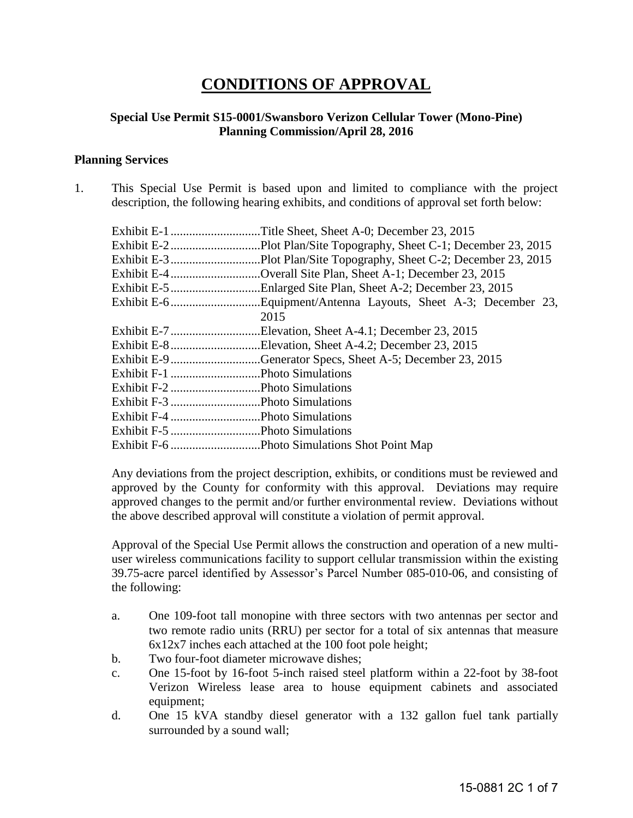# **CONDITIONS OF APPROVAL**

### **Special Use Permit S15-0001/Swansboro Verizon Cellular Tower (Mono-Pine) Planning Commission/April 28, 2016**

#### **Planning Services**

1. This Special Use Permit is based upon and limited to compliance with the project description, the following hearing exhibits, and conditions of approval set forth below:

|                               | Exhibit E-4 Overall Site Plan, Sheet A-1; December 23, 2015 |
|-------------------------------|-------------------------------------------------------------|
|                               |                                                             |
|                               |                                                             |
|                               | 2015                                                        |
|                               | Exhibit E-7Elevation, Sheet A-4.1; December 23, 2015        |
|                               | Exhibit E-8Elevation, Sheet A-4.2; December 23, 2015        |
|                               | Exhibit E-9 Generator Specs, Sheet A-5; December 23, 2015   |
| Exhibit F-1 Photo Simulations |                                                             |
|                               |                                                             |
|                               |                                                             |
| Exhibit F-4 Photo Simulations |                                                             |
|                               |                                                             |
|                               |                                                             |

Any deviations from the project description, exhibits, or conditions must be reviewed and approved by the County for conformity with this approval. Deviations may require approved changes to the permit and/or further environmental review. Deviations without the above described approval will constitute a violation of permit approval.

Approval of the Special Use Permit allows the construction and operation of a new multiuser wireless communications facility to support cellular transmission within the existing 39.75-acre parcel identified by Assessor's Parcel Number 085-010-06, and consisting of the following:

- a. One 109-foot tall monopine with three sectors with two antennas per sector and two remote radio units (RRU) per sector for a total of six antennas that measure 6x12x7 inches each attached at the 100 foot pole height;
- b. Two four-foot diameter microwave dishes;
- c. One 15-foot by 16-foot 5-inch raised steel platform within a 22-foot by 38-foot Verizon Wireless lease area to house equipment cabinets and associated equipment;
- d. One 15 kVA standby diesel generator with a 132 gallon fuel tank partially surrounded by a sound wall;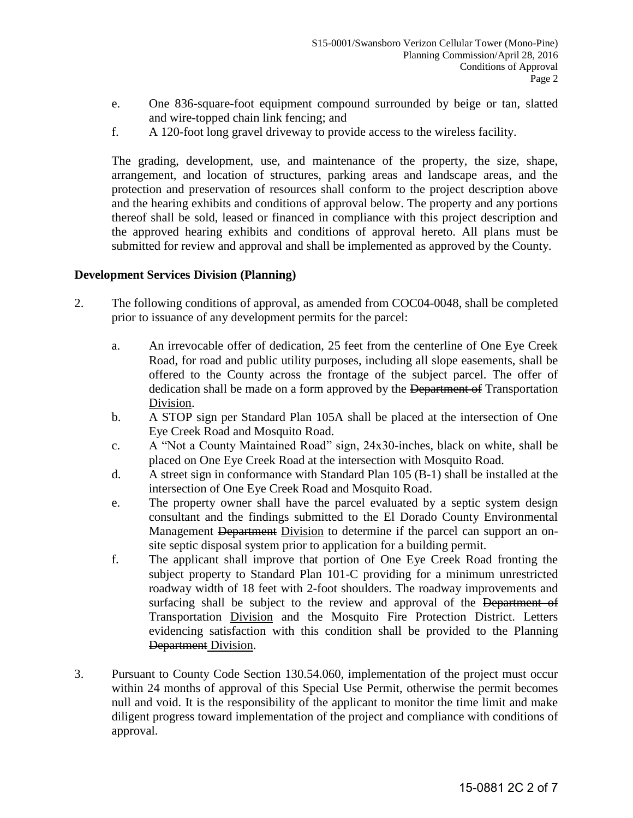- e. One 836-square-foot equipment compound surrounded by beige or tan, slatted and wire-topped chain link fencing; and
- f. A 120-foot long gravel driveway to provide access to the wireless facility.

 The grading, development, use, and maintenance of the property, the size, shape, arrangement, and location of structures, parking areas and landscape areas, and the protection and preservation of resources shall conform to the project description above and the hearing exhibits and conditions of approval below. The property and any portions thereof shall be sold, leased or financed in compliance with this project description and the approved hearing exhibits and conditions of approval hereto. All plans must be submitted for review and approval and shall be implemented as approved by the County.

## **Development Services Division (Planning)**

- 2. The following conditions of approval, as amended from COC04-0048, shall be completed prior to issuance of any development permits for the parcel:
	- a. An irrevocable offer of dedication, 25 feet from the centerline of One Eye Creek Road, for road and public utility purposes, including all slope easements, shall be offered to the County across the frontage of the subject parcel. The offer of dedication shall be made on a form approved by the Department of Transportation Division.
	- b. A STOP sign per Standard Plan 105A shall be placed at the intersection of One Eye Creek Road and Mosquito Road.
	- c. A "Not a County Maintained Road" sign, 24x30-inches, black on white, shall be placed on One Eye Creek Road at the intersection with Mosquito Road.
	- d. A street sign in conformance with Standard Plan 105 (B-1) shall be installed at the intersection of One Eye Creek Road and Mosquito Road.
	- e. The property owner shall have the parcel evaluated by a septic system design consultant and the findings submitted to the El Dorado County Environmental Management Department Division to determine if the parcel can support an onsite septic disposal system prior to application for a building permit.
	- f. The applicant shall improve that portion of One Eye Creek Road fronting the subject property to Standard Plan 101-C providing for a minimum unrestricted roadway width of 18 feet with 2-foot shoulders. The roadway improvements and surfacing shall be subject to the review and approval of the Department of Transportation Division and the Mosquito Fire Protection District. Letters evidencing satisfaction with this condition shall be provided to the Planning Department Division.
- 3. Pursuant to County Code Section 130.54.060, implementation of the project must occur within 24 months of approval of this Special Use Permit, otherwise the permit becomes null and void. It is the responsibility of the applicant to monitor the time limit and make diligent progress toward implementation of the project and compliance with conditions of approval.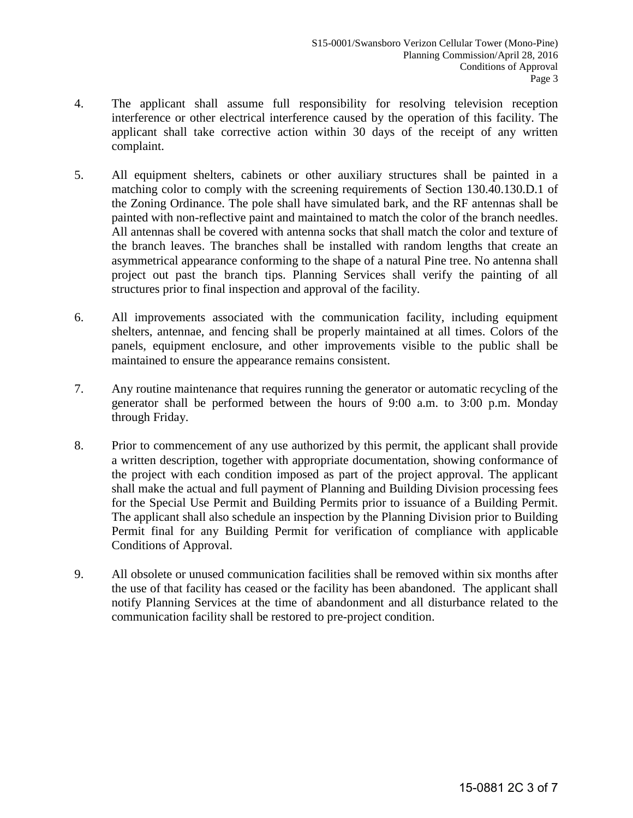- 4. The applicant shall assume full responsibility for resolving television reception interference or other electrical interference caused by the operation of this facility. The applicant shall take corrective action within 30 days of the receipt of any written complaint.
- 5. All equipment shelters, cabinets or other auxiliary structures shall be painted in a matching color to comply with the screening requirements of Section 130.40.130.D.1 of the Zoning Ordinance. The pole shall have simulated bark, and the RF antennas shall be painted with non-reflective paint and maintained to match the color of the branch needles. All antennas shall be covered with antenna socks that shall match the color and texture of the branch leaves. The branches shall be installed with random lengths that create an asymmetrical appearance conforming to the shape of a natural Pine tree. No antenna shall project out past the branch tips. Planning Services shall verify the painting of all structures prior to final inspection and approval of the facility.
- 6. All improvements associated with the communication facility, including equipment shelters, antennae, and fencing shall be properly maintained at all times. Colors of the panels, equipment enclosure, and other improvements visible to the public shall be maintained to ensure the appearance remains consistent.
- 7. Any routine maintenance that requires running the generator or automatic recycling of the generator shall be performed between the hours of 9:00 a.m. to 3:00 p.m. Monday through Friday.
- 8. Prior to commencement of any use authorized by this permit, the applicant shall provide a written description, together with appropriate documentation, showing conformance of the project with each condition imposed as part of the project approval. The applicant shall make the actual and full payment of Planning and Building Division processing fees for the Special Use Permit and Building Permits prior to issuance of a Building Permit. The applicant shall also schedule an inspection by the Planning Division prior to Building Permit final for any Building Permit for verification of compliance with applicable Conditions of Approval.
- 9. All obsolete or unused communication facilities shall be removed within six months after the use of that facility has ceased or the facility has been abandoned. The applicant shall notify Planning Services at the time of abandonment and all disturbance related to the communication facility shall be restored to pre-project condition.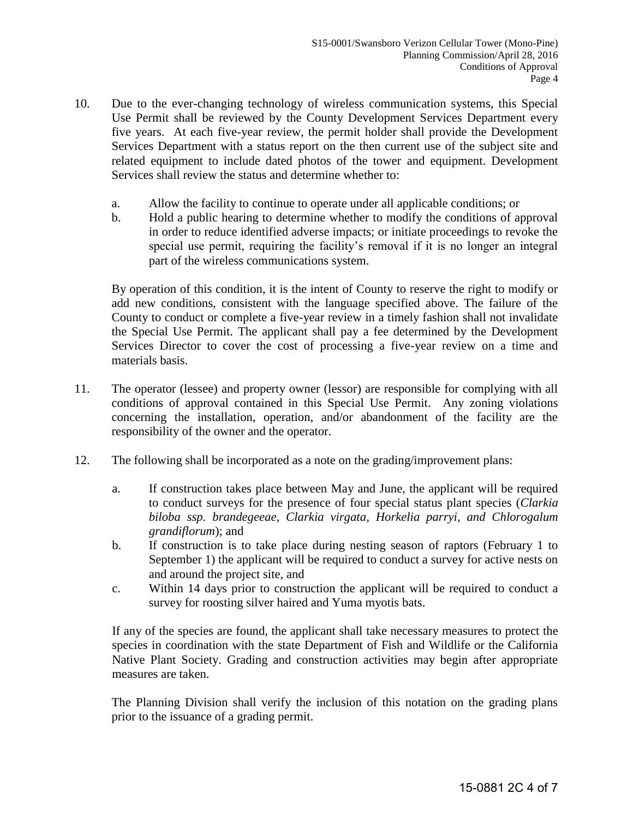- 10. Due to the ever-changing technology of wireless communication systems, this Special Use Permit shall be reviewed by the County Development Services Department every five years. At each five-year review, the permit holder shall provide the Development Services Department with a status report on the then current use of the subject site and related equipment to include dated photos of the tower and equipment. Development Services shall review the status and determine whether to:
	- a. Allow the facility to continue to operate under all applicable conditions; or
	- b. Hold a public hearing to determine whether to modify the conditions of approval in order to reduce identified adverse impacts; or initiate proceedings to revoke the special use permit, requiring the facility's removal if it is no longer an integral part of the wireless communications system.

 By operation of this condition, it is the intent of County to reserve the right to modify or add new conditions, consistent with the language specified above. The failure of the County to conduct or complete a five-year review in a timely fashion shall not invalidate the Special Use Permit. The applicant shall pay a fee determined by the Development Services Director to cover the cost of processing a five-year review on a time and materials basis.

- 11. The operator (lessee) and property owner (lessor) are responsible for complying with all conditions of approval contained in this Special Use Permit. Any zoning violations concerning the installation, operation, and/or abandonment of the facility are the responsibility of the owner and the operator.
- 12. The following shall be incorporated as a note on the grading/improvement plans:
	- a. If construction takes place between May and June, the applicant will be required to conduct surveys for the presence of four special status plant species (*Clarkia biloba ssp. brandegeeae, Clarkia virgata, Horkelia parryi, and Chlorogalum grandiflorum*); and
	- b. If construction is to take place during nesting season of raptors (February 1 to September 1) the applicant will be required to conduct a survey for active nests on and around the project site, and
	- c. Within 14 days prior to construction the applicant will be required to conduct a survey for roosting silver haired and Yuma myotis bats.

If any of the species are found, the applicant shall take necessary measures to protect the species in coordination with the state Department of Fish and Wildlife or the California Native Plant Society. Grading and construction activities may begin after appropriate measures are taken.

 The Planning Division shall verify the inclusion of this notation on the grading plans prior to the issuance of a grading permit.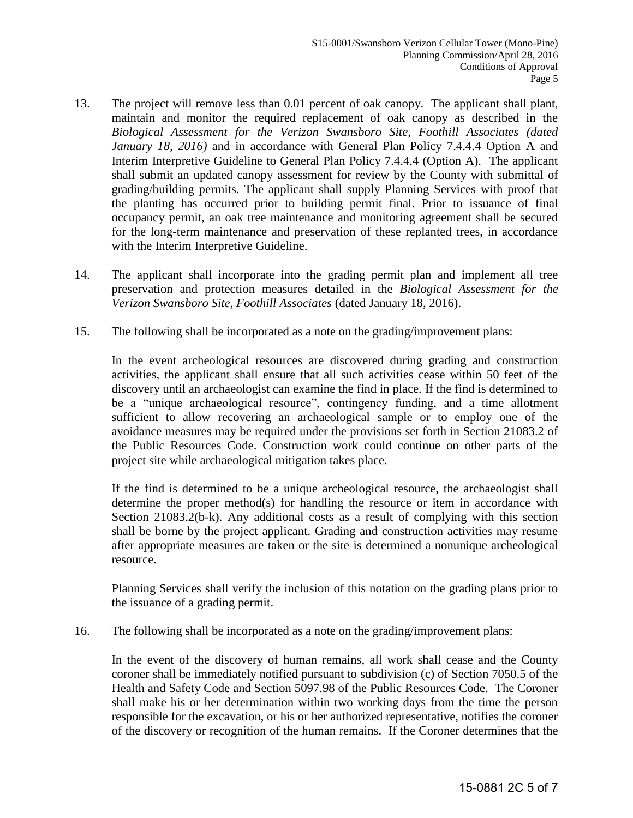- 13. The project will remove less than 0.01 percent of oak canopy. The applicant shall plant, maintain and monitor the required replacement of oak canopy as described in the *Biological Assessment for the Verizon Swansboro Site, Foothill Associates (dated January 18, 2016)* and in accordance with General Plan Policy 7.4.4.4 Option A and Interim Interpretive Guideline to General Plan Policy 7.4.4.4 (Option A). The applicant shall submit an updated canopy assessment for review by the County with submittal of grading/building permits. The applicant shall supply Planning Services with proof that the planting has occurred prior to building permit final. Prior to issuance of final occupancy permit, an oak tree maintenance and monitoring agreement shall be secured for the long-term maintenance and preservation of these replanted trees, in accordance with the Interim Interpretive Guideline.
- 14. The applicant shall incorporate into the grading permit plan and implement all tree preservation and protection measures detailed in the *Biological Assessment for the Verizon Swansboro Site, Foothill Associates* (dated January 18, 2016).
- 15. The following shall be incorporated as a note on the grading/improvement plans:

In the event archeological resources are discovered during grading and construction activities, the applicant shall ensure that all such activities cease within 50 feet of the discovery until an archaeologist can examine the find in place. If the find is determined to be a "unique archaeological resource", contingency funding, and a time allotment sufficient to allow recovering an archaeological sample or to employ one of the avoidance measures may be required under the provisions set forth in Section 21083.2 of the Public Resources Code. Construction work could continue on other parts of the project site while archaeological mitigation takes place.

If the find is determined to be a unique archeological resource, the archaeologist shall determine the proper method(s) for handling the resource or item in accordance with Section 21083.2(b-k). Any additional costs as a result of complying with this section shall be borne by the project applicant. Grading and construction activities may resume after appropriate measures are taken or the site is determined a nonunique archeological resource.

Planning Services shall verify the inclusion of this notation on the grading plans prior to the issuance of a grading permit.

16. The following shall be incorporated as a note on the grading/improvement plans:

In the event of the discovery of human remains, all work shall cease and the County coroner shall be immediately notified pursuant to subdivision (c) of Section 7050.5 of the Health and Safety Code and Section 5097.98 of the Public Resources Code. The Coroner shall make his or her determination within two working days from the time the person responsible for the excavation, or his or her authorized representative, notifies the coroner of the discovery or recognition of the human remains. If the Coroner determines that the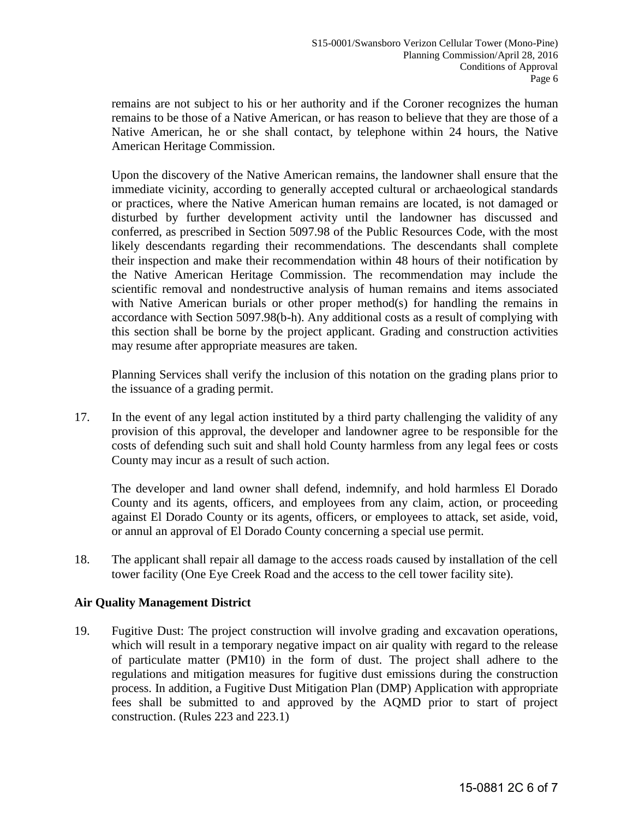remains are not subject to his or her authority and if the Coroner recognizes the human remains to be those of a Native American, or has reason to believe that they are those of a Native American, he or she shall contact, by telephone within 24 hours, the Native American Heritage Commission.

 Upon the discovery of the Native American remains, the landowner shall ensure that the immediate vicinity, according to generally accepted cultural or archaeological standards or practices, where the Native American human remains are located, is not damaged or disturbed by further development activity until the landowner has discussed and conferred, as prescribed in Section 5097.98 of the Public Resources Code, with the most likely descendants regarding their recommendations. The descendants shall complete their inspection and make their recommendation within 48 hours of their notification by the Native American Heritage Commission. The recommendation may include the scientific removal and nondestructive analysis of human remains and items associated with Native American burials or other proper method(s) for handling the remains in accordance with Section 5097.98(b-h). Any additional costs as a result of complying with this section shall be borne by the project applicant. Grading and construction activities may resume after appropriate measures are taken.

 Planning Services shall verify the inclusion of this notation on the grading plans prior to the issuance of a grading permit.

17. In the event of any legal action instituted by a third party challenging the validity of any provision of this approval, the developer and landowner agree to be responsible for the costs of defending such suit and shall hold County harmless from any legal fees or costs County may incur as a result of such action.

 The developer and land owner shall defend, indemnify, and hold harmless El Dorado County and its agents, officers, and employees from any claim, action, or proceeding against El Dorado County or its agents, officers, or employees to attack, set aside, void, or annul an approval of El Dorado County concerning a special use permit.

18. The applicant shall repair all damage to the access roads caused by installation of the cell tower facility (One Eye Creek Road and the access to the cell tower facility site).

## **Air Quality Management District**

19. Fugitive Dust: The project construction will involve grading and excavation operations, which will result in a temporary negative impact on air quality with regard to the release of particulate matter (PM10) in the form of dust. The project shall adhere to the regulations and mitigation measures for fugitive dust emissions during the construction process. In addition, a Fugitive Dust Mitigation Plan (DMP) Application with appropriate fees shall be submitted to and approved by the AQMD prior to start of project construction. (Rules 223 and 223.1)